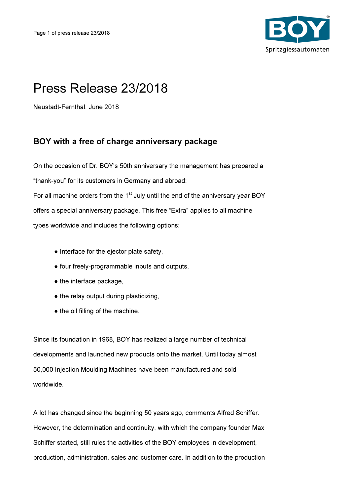

## Press Release 23/2018

Neustadt-Fernthal, June 2018

## BOY with a free of charge anniversary package

On the occasion of Dr. BOY's 50th anniversary the management has prepared a "thank-you" for its customers in Germany and abroad: For all machine orders from the  $1<sup>st</sup>$  July until the end of the anniversary year BOY offers a special anniversary package. This free "Extra" applies to all machine types worldwide and includes the following options:

- Interface for the ejector plate safety,
- four freely-programmable inputs and outputs,
- the interface package,
- the relay output during plasticizing,
- the oil filling of the machine.

Since its foundation in 1968, BOY has realized a large number of technical developments and launched new products onto the market. Until today almost 50,000 Injection Moulding Machines have been manufactured and sold worldwide.

A lot has changed since the beginning 50 years ago, comments Alfred Schiffer. However, the determination and continuity, with which the company founder Max Schiffer started, still rules the activities of the BOY employees in development, production, administration, sales and customer care. In addition to the production